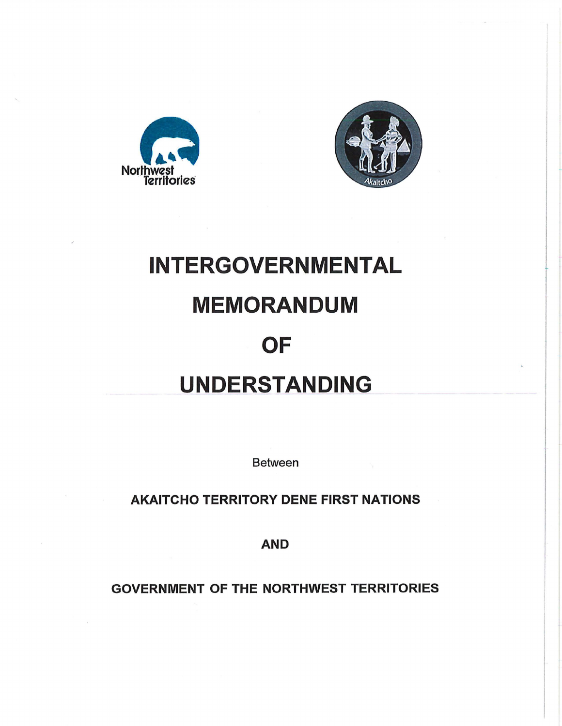



# **INTERGOVERNMENTAL**

## **MEMORANDUM**

## **OF**

## **UNDERSTANDING**

Between

AKAITCHO TERRITORY DENE FIRST NATIONS

AND

GOVERNMENT OF THE NORTHWEST TERRITORIES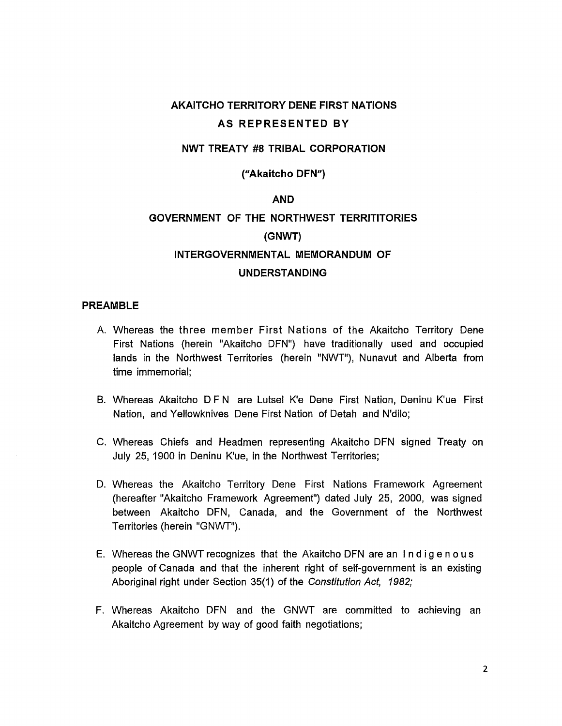#### **AKAITCHO TERRITORY DENE FIRST NATIONS AS REPRESENTED BY**

#### **NWT TREATY #8 TRIBAL CORPORATION**

**("Akaitcho DFN")** 

#### **AND**

### **GOVERNMENT OF THE NORTHWEST TERRITITORIES (GNWT) INTERGOVERNMENTAL MEMORANDUM OF**

#### **UNDERSTANDING**

#### **PREAMBLE**

- A. Whereas the three member First Nations of the Akaitcho Territory Dene First Nations (herein "Akaitcho DFN") have traditionally used and occupied lands in the Northwest Territories (herein "NWT"), Nunavut and Alberta from time immemorial;
- B. Whereas Akaitcho D F N are Lutsel K'e Dene First Nation, Deninu K'ue First Nation, and Yellowknives Dene First Nation of Detah and N'dilo;
- C. Whereas Chiefs and Headmen representing Akaitcho DFN signed Treaty on July 25, 1900 in Denlnu K'ue, in the Northwest Territories;
- D. Whereas the Akaitcho Territory Dene First Nations Framework Agreement (hereafter "Akaitcho Framework Agreement") dated July 25, 2000, was signed between Akaitcho DFN, Canada, and the Government of the Northwest Territories (herein "GNWT").
- E. Whereas the GNWT recognizes that the Akaitcho DFN are an Indigenous people of Canada and that the inherent right of self-government is an existing Aboriginal right under Section 35(1) of the Constitution Act, 1982;
- F. Whereas Akaitcho DFN and the GNWT are committed to achieving an Akaitcho Agreement by way of good faith negotiations;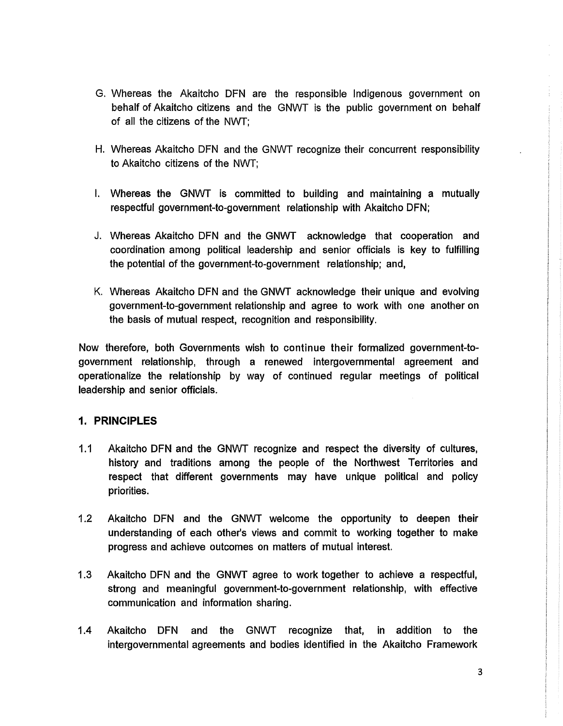- G. Whereas the Akaitcho DFN are the responsible Indigenous government on behalf of Akaitcho citizens and the GNWT is the public government on behalf of all the citizens of the NWT;
- H. Whereas Akaitcho DFN and the GNWT recognize their concurrent responsibility to Akaitcho citizens of the NWT;
- I. Whereas the GNWT is committed to building and maintaining a mutually respectful government-to-government relationship with Akaitcho DFN;
- J. Whereas Akaitcho DFN and the GNWT acknowledge that cooperation and coordination among political leadership and senior officials is key to fulfilling the potential of the government-to-government relationship; and,
- K. Whereas Akaitcho DFN and the GNWT acknowledge their unique and evolving government-to-government relationship and agree to work with one another on the basis of mutual respect, recognition and responsibility.

Now therefore, both Governments wish to continue their formalized government-togovernment relationship, through a renewed intergovernmental agreement and operationalize the relationship by way of continued regular meetings of political leadership and senior officials.

#### **1. PRINCIPLES**

- 1.1 Akaitcho DFN and the GNWT recognize and respect the diversity of cultures, history and traditions among the people of the Northwest Territories and respect that different governments may have unique political and policy priorities.
- 1.2 Akaitcho DFN and the GNWT welcome the opportunity to deepen their understanding of each other's views and commit to working together to make progress and achieve outcomes on matters of mutual interest.
- 1.3 Akaitcho DFN and the GNWT agree to work together to achieve a respectful, strong and meaningful government-to-government relationship, with effective communication and information sharing.
- 1.4 Akaitcho DFN and the GNWT recognize that, in addition to the intergovernmental agreements and bodies identified in the Akaitcho Framework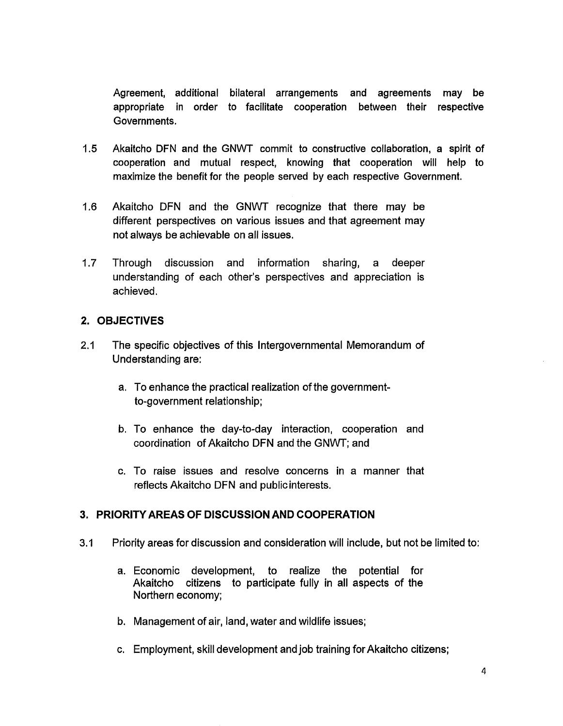Agreement, additional bilateral arrangements and agreements may be appropriate in order to facilitate cooperation between their respective Governments.

- 1.5 Akaitcho DFN and the GNWT commit to constructive collaboration, a spirit of cooperation and mutual respect, knowing that cooperation will help to maximize the benefit for the people served by each respective Government.
- 1.6 Akaitcho DFN and the GNWT recognize that there may be different perspectives on various issues and that agreement may not always be achievable on all issues.
- 1.7 Through discussion and information sharing, a deeper understanding of each other's perspectives and appreciation is achieved.

#### 2. OBJECTIVES

- 2.1 The specific objectives of this Intergovernmental Memorandum of Understanding are:
	- a. To enhance the practical realization of the governmentto-government relationship;
	- b. To enhance the day-to-day interaction, cooperation and coordination of Akaitcho DFN and the GNWT; and
	- c. To raise issues and resolve concerns in a manner that reflects Akaitcho DFN and public interests.

#### 3. PRIORITY AREAS OF DISCUSSION AND COOPERATION

- 3.1 Priority areas for discussion and consideration will include, but not be limited to:
	- a. Economic development, to realize the potential for Akaitcho citizens to participate fully in all aspects of the Northern economy;
	- b. Management of air, land, water and wildlife issues;
	- c. Employment, skill development and job training for Akaitcho citizens;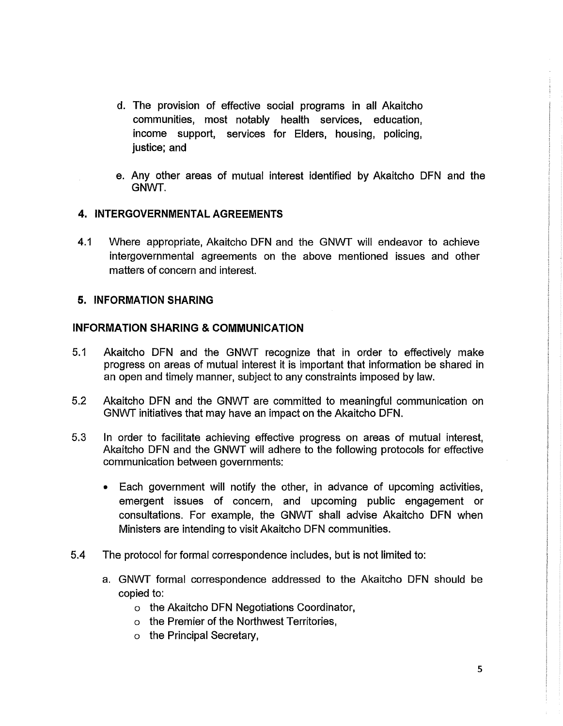- d. The provision of effective social programs in all Akaitcho communities, most notably health services, education, income support, services for Elders, housing, policing, justice; and
- e. Any other areas of mutual interest identified by Akaitcho DFN and the GNWT.

#### **4. INTERGOVERNMENTAL AGREEMENTS**

4.1 Where appropriate, Akaitcho DFN and the GNWT will endeavor to achieve intergovernmental agreements on the above mentioned issues and other matters of concern and interest.

#### **5. INFORMATION SHARING**

#### **INFORMATION SHARING & COMMUNICATION**

- 5.1 Akaitcho DFN and the GNWT recognize that in order to effectively make progress on areas of mutual interest it is important that information be shared in an open and timely manner, subject to any constraints imposed by law.
- 5.2 Akaitcho DFN and the GNWT are committed to meaningful communication on GNWT initiatives that may have an impact on the Akaitcho DFN.
- 5.3 In order to facilitate achieving effective progress on areas of mutual interest, Akaitcho DFN and the GNWT will adhere to the following protocols for effective communication between governments:
	- Each government will notify the other, in advance of upcoming activities, emergent issues of concern, and upcoming public engagement or consultations. For example, the GNWT shall advise Akaitcho DFN when Ministers are intending to visit Akaitcho DFN communities.
- 5.4 The protocol for formal correspondence includes, but is not limited to:
	- a. GNWT formal correspondence addressed to the Akaitcho DFN should be copied to:
		- o the Akaitcho DFN Negotiations Coordinator,
		- o the Premier of the Northwest Territories,
		- o the Principal Secretary,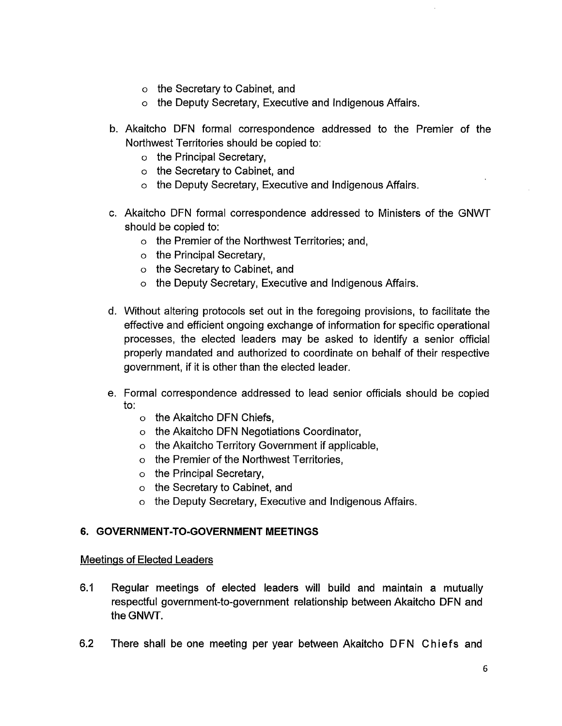- o the Secretary to Cabinet, and
- o the Deputy Secretary, Executive and Indigenous Affairs.
- b. Akaitcho DFN formal correspondence addressed to the Premier of the Northwest Territories should be copied to:
	- o the Principal Secretary,
	- o the Secretary to Cabinet, and
	- o the Deputy Secretary, Executive and Indigenous Affairs.
- c. Akaitcho DFN formal correspondence addressed to Ministers of the GNWT should be copied to:
	- o the Premier of the Northwest Territories; and,
	- o the Principal Secretary,
	- o the Secretary to Cabinet, and
	- o the Deputy Secretary, Executive and Indigenous Affairs.
- d. Without altering protocols set out in the foregoing provisions, to facilitate the effective and efficient ongoing exchange of information for specific operational processes, the elected leaders may be asked to identify a senior official properly mandated and authorized to coordinate on behalf of their respective government, if it is other than the elected leader.
- e. Formal correspondence addressed to lead senior officials should be copied to:
	- o the Akaitcho DFN Chiefs,
	- o the Akaitcho DFN Negotiations Coordinator,
	- o the Akaitcho Territory Government if applicable,
	- o the Premier of the Northwest Territories,
	- o the Principal Secretary,
	- o the Secretary to Cabinet, and
	- o the Deputy Secretary, Executive and Indigenous Affairs.

#### **6. GOVERNMENT-TO-GOVERNMENT MEETINGS**

#### Meetings of Elected Leaders

- 6.1 Regular meetings of elected leaders will build and maintain a mutually respectful government-to-government relationship between Akaitcho DFN and theGNWT.
- 6.2 There shall be one meeting per year between Akaitcho DFN Chiefs and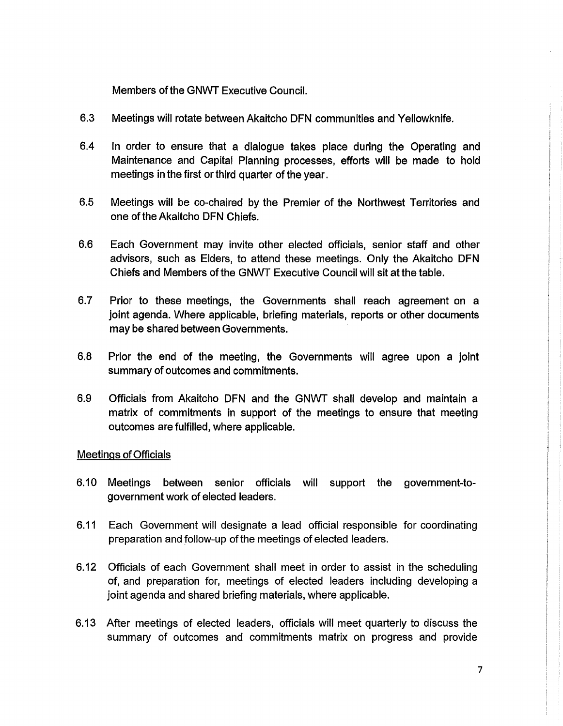Members of the GNWT Executive Council.

- 6.3 Meetings will rotate between Akaitcho DFN communities and Yellowknife.
- 6.4 In order to ensure that a dialogue takes place during the Operating and Maintenance and Capital Planning processes, efforts will be made to hold meetings in the first or third quarter of the year.
- 6.5 Meetings will be co-chaired by the Premier of the Northwest Territories and one of the Akaitcho DFN Chiefs.
- 6.6 Each Government may invite other elected officials, senior staff and other advisors, such as Elders, to attend these meetings. Only the Akaitcho DFN Chiefs and Members of the GNWT Executive Council will sit at the table.
- 6.7 Prior to these meetings, the Governments shall reach agreement on a joint agenda. Where applicable, briefing materials, reports or other documents may be shared between Governments.
- 6.8 Prior the end of the meeting, the Governments will agree upon a joint summary of outcomes and commitments.
- 6.9 Officials from Akaitcho DFN and the GNWT shall develop and maintain a matrix of commitments in support of the meetings to ensure that meeting outcomes are fulfilled, where applicable.

#### Meetings of Officials

- 6.10 Meetings between senior officials will support the government-togovernment work of elected leaders.
- 6.11 Each Government will designate a lead official responsible for coordinating preparation and follow-up of the meetings of elected leaders.
- 6.12 Officials of each Government shall meet in order to assist in the scheduling of, and preparation for, meetings of elected leaders including developing a joint agenda and shared briefing materials, where applicable.
- 6.13 After meetings of elected leaders, officials will meet quarterly to discuss the summary of outcomes and commitments matrix on progress and provide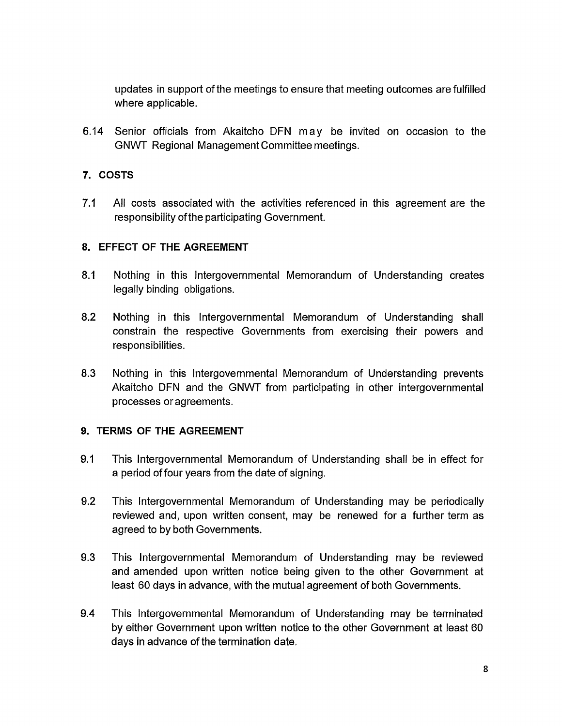updates in support of the meetings to ensure that meeting outcomes are fulfilled where applicable.

6.14 Senior officials from Akaitcho DFN may be invited on occasion to the GNWT Regional Management Committee meetings.

#### **7. COSTS**

7.1 All costs associated with the activities referenced in this agreement are the responsibility of the participating Government.

#### **8. EFFECT OF THE AGREEMENT**

- 8.1 Nothing in this Intergovernmental Memorandum of Understanding creates legally binding obligations.
- 8.2 Nothing in this Intergovernmental Memorandum of Understanding shall constrain the respective Governments from exercising their powers and responsibilities.
- 8.3 Nothing in this Intergovernmental Memorandum of Understanding prevents Akaitcho DFN and the GNWT from participating in other intergovernmental processes or agreements.

#### **9. TERMS OF THE AGREEMENT**

- 9.1 This Intergovernmental Memorandum of Understanding shall be in effect for a period of four years from the date of signing.
- 9.2 This Intergovernmental Memorandum of Understanding may be periodically reviewed and, upon written consent, may be renewed for a further term as agreed to by both Governments.
- 9.3 This Intergovernmental Memorandum of Understanding may be reviewed and amended upon written notice being given to the other Government at least 60 days in advance, with the mutual agreement of both Governments.
- 9.4 This Intergovernmental Memorandum of Understanding may be terminated by either Government upon written notice to the other Government at least 60 days in advance of the termination date.